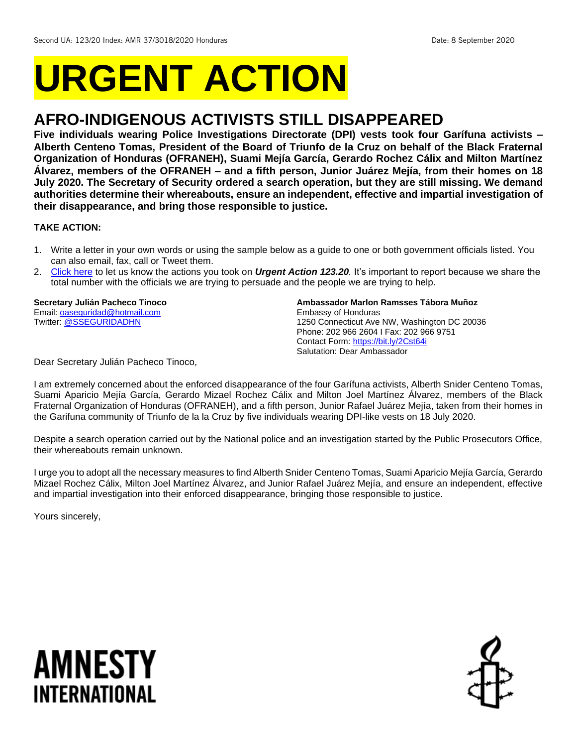# **URGENT ACTION**

## **AFRO-INDIGENOUS ACTIVISTS STILL DISAPPEARED**

**Five individuals wearing Police Investigations Directorate (DPI) vests took four Garífuna activists – Alberth Centeno Tomas, President of the Board of Triunfo de la Cruz on behalf of the Black Fraternal Organization of Honduras (OFRANEH), Suami Mejía García, Gerardo Rochez Cálix and Milton Martínez Álvarez, members of the OFRANEH – and a fifth person, Junior Juárez Mejía, from their homes on 18 July 2020. The Secretary of Security ordered a search operation, but they are still missing. We demand authorities determine their whereabouts, ensure an independent, effective and impartial investigation of their disappearance, and bring those responsible to justice.**

## **TAKE ACTION:**

- 1. Write a letter in your own words or using the sample below as a guide to one or both government officials listed. You can also email, fax, call or Tweet them.
- 2. [Click here](https://www.amnestyusa.org/report-urgent-actions/) to let us know the actions you took on *Urgent Action 123.20.* It's important to report because we share the total number with the officials we are trying to persuade and the people we are trying to help.

**Secretary Julián Pacheco Tinoco** Email[: oaseguridad@hotmail.com](mailto:oaseguridad@hotmail.com) Twitter: [@SSEGURIDADHN](https://twitter.com/sseguridadhn?lang=en)

**Ambassador Marlon Ramsses Tábora Muñoz** Embassy of Honduras 1250 Connecticut Ave NW, Washington DC 20036 Phone: 202 966 2604 I Fax: 202 966 9751 Contact Form[: https://bit.ly/2Cst64i](https://bit.ly/2Cst64i) Salutation: Dear Ambassador

Dear Secretary Julián Pacheco Tinoco,

I am extremely concerned about the enforced disappearance of the four Garífuna activists, Alberth Snider Centeno Tomas, Suami Aparicio Mejía García, Gerardo Mizael Rochez Cálix and Milton Joel Martínez Álvarez, members of the Black Fraternal Organization of Honduras (OFRANEH), and a fifth person, Junior Rafael Juárez Mejía, taken from their homes in the Garifuna community of Triunfo de la la Cruz by five individuals wearing DPI-like vests on 18 July 2020.

Despite a search operation carried out by the National police and an investigation started by the Public Prosecutors Office, their whereabouts remain unknown.

I urge you to adopt all the necessary measures to find Alberth Snider Centeno Tomas, Suami Aparicio Mejía García, Gerardo Mizael Rochez Cálix, Milton Joel Martínez Álvarez, and Junior Rafael Juárez Mejía, and ensure an independent, effective and impartial investigation into their enforced disappearance, bringing those responsible to justice.

Yours sincerely,